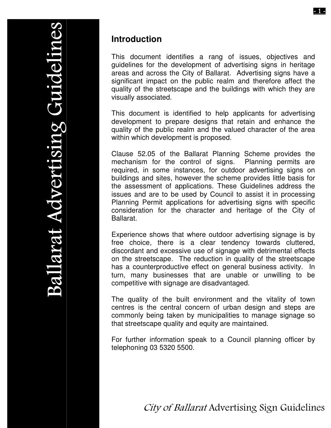**SV)** 

## **Introduction**

This document identifies a rang of issues, objectives and guidelines for the development of advertising signs in heritage areas and across the City of Ballarat. Advertising signs have a significant impact on the public realm and therefore affect the quality of the streetscape and the buildings with which they are visually associated.

This document is identified to help applicants for advertising development to prepare designs that retain and enhance the quality of the public realm and the valued character of the area within which development is proposed.

Clause 52.05 of the Ballarat Planning Scheme provides the mechanism for the control of signs. Planning permits are required, in some instances, for outdoor advertising signs on buildings and sites, however the scheme provides little basis for the assessment of applications. These Guidelines address the issues and are to be used by Council to assist it in processing Planning Permit applications for advertising signs with specific consideration for the character and heritage of the City of Ballarat.

Experience shows that where outdoor advertising signage is by free choice, there is a clear tendency towards cluttered, discordant and excessive use of signage with detrimental effects on the streetscape. The reduction in quality of the streetscape has a counterproductive effect on general business activity. In turn, many businesses that are unable or unwilling to be competitive with signage are disadvantaged.

The quality of the built environment and the vitality of town centres is the central concern of urban design and steps are commonly being taken by municipalities to manage signage so that streetscape quality and equity are maintained.

For further information speak to a Council planning officer by telephoning 03 5320 5500.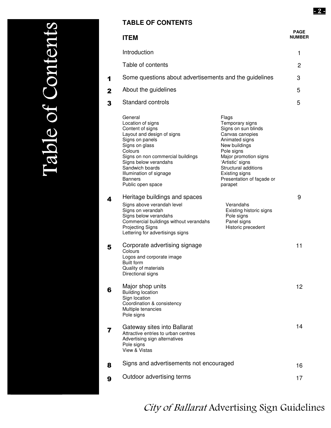|   | <b>ITEM</b>                                                                                                                                                                                                                                                                       |                                                                                                                                                                                                                                                    | PAGE<br><b>NUMBER</b> |
|---|-----------------------------------------------------------------------------------------------------------------------------------------------------------------------------------------------------------------------------------------------------------------------------------|----------------------------------------------------------------------------------------------------------------------------------------------------------------------------------------------------------------------------------------------------|-----------------------|
|   | Introduction                                                                                                                                                                                                                                                                      |                                                                                                                                                                                                                                                    | 1                     |
|   | Table of contents                                                                                                                                                                                                                                                                 |                                                                                                                                                                                                                                                    | 2                     |
| 1 | Some questions about advertisements and the guidelines                                                                                                                                                                                                                            |                                                                                                                                                                                                                                                    | 3                     |
| 2 | About the guidelines                                                                                                                                                                                                                                                              |                                                                                                                                                                                                                                                    | 5                     |
| 3 | <b>Standard controls</b>                                                                                                                                                                                                                                                          |                                                                                                                                                                                                                                                    | 5                     |
|   | General<br>Location of signs<br>Content of signs<br>Layout and design of signs<br>Signs on panels<br>Signs on glass<br>Colours<br>Signs on non commercial buildings<br>Signs below verandahs<br>Sandwich boards<br>Illumination of signage<br><b>Banners</b><br>Public open space | Flags<br>Temporary signs<br>Signs on sun blinds<br>Canvas canopies<br>Animated signs<br>New buildings<br>Pole signs<br>Major promotion signs<br>'Artistic' signs<br>Structural additions<br>Existing signs<br>Presentation of façade or<br>parapet |                       |
| 4 | Heritage buildings and spaces<br>Signs above verandah level<br>Signs on verandah<br>Signs below verandahs<br>Commercial buildings without verandahs<br><b>Projecting Signs</b><br>Lettering for advertisings signs                                                                | Verandahs<br>Existing historic signs<br>Pole signs<br>Panel signs<br>Historic precedent                                                                                                                                                            | 9                     |
| 5 | Corporate advertising signage<br>Colours<br>Logos and corporate image<br><b>Built form</b><br>Quality of materials<br>Directional signs                                                                                                                                           |                                                                                                                                                                                                                                                    | 11                    |
| 6 | Major shop units<br><b>Building location</b><br>Sign location<br>Coordination & consistency<br>Multiple tenancies<br>Pole signs                                                                                                                                                   |                                                                                                                                                                                                                                                    | 12                    |
| 7 | Gateway sites into Ballarat<br>Attractive entries to urban centres<br>Advertising sign alternatives<br>Pole signs<br>View & Vistas                                                                                                                                                |                                                                                                                                                                                                                                                    | 14                    |
| 8 | Signs and advertisements not encouraged                                                                                                                                                                                                                                           |                                                                                                                                                                                                                                                    | 16                    |
| 9 | Outdoor advertising terms                                                                                                                                                                                                                                                         |                                                                                                                                                                                                                                                    | 17                    |

### E **R**  $\mathbf{Q}$  $\overline{\phantom{0}}$  $\bf \mathbb{O}$  $\mathbf O$  $\overline{\mathbf{y}}$  $\bigcup$  $\mathbf O$  $\bf \Pi$  $\overline{\phantom{0}}$  $\bf \mathbb{O}$  $\bf \Pi$  $\overline{\phantom{0}}$ S) IdaI Of  $\rm CO$ nten le of Content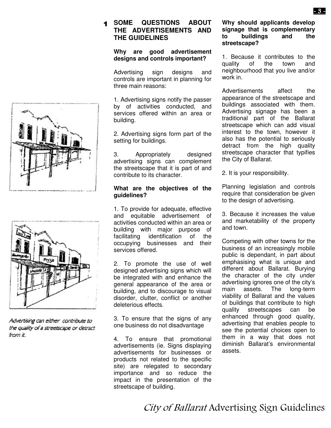#### $\blacktriangleleft$  **SOME QUESTIONS ABOUT THE ADVERTISEMENTS AND THE GUIDELINES**

#### **Why are good advertisement designs and controls important?**

Advertising sign designs and controls are important in planning for three main reasons:

1. Advertising signs notify the passer by of activities conducted, and services offered within an area or building.

2. Advertising signs form part of the setting for buildings.

3. Appropriately designed advertising signs can complement the streetscape that it is part of and contribute to its character.

#### **What are the objectives of the guidelines?**

1. To provide for adequate, effective and equitable advertisement of activities conducted within an area or building with major purpose of<br>facilitating identification of the identification of the occupying businesses and their services offered.

2. To promote the use of well designed advertising signs which will be integrated with and enhance the general appearance of the area or building, and to discourage to visual disorder, clutter, conflict or another deleterious effects.

3. To ensure that the signs of any one business do not disadvantage

4. To ensure that promotional advertisements (ie. Signs displaying advertisements for businesses or products not related to the specific site) are relegated to secondary importance and so reduce the impact in the presentation of the streetscape of building.

#### **Why should applicants develop signage that is complementary to buildings streetscape?**

1. Because it contributes to the quality of the town and neighbourhood that you live and/or work in.

Advertisements affect the appearance of the streetscape and buildings associated with them. Advertising signage has been a traditional part of the Ballarat streetscape which can add visual interest to the town, however it also has the potential to seriously detract from the high quality streetscape character that typifies the City of Ballarat.

2. It is your responsibility.

Planning legislation and controls require that consideration be given to the design of advertising.

3. Because it increases the value and marketability of the property and town.

Competing with other towns for the business of an increasingly mobile public is dependant, in part about emphasising what is unique and different about Ballarat. Burying the character of the city under advertising ignores one of the city's main assets. The long-term viability of Ballarat and the values of buildings that contribute to high quality streetscapes can be enhanced through good quality, advertising that enables people to see the potential choices open to them in a way that does not diminish Ballarat's environmental assets.





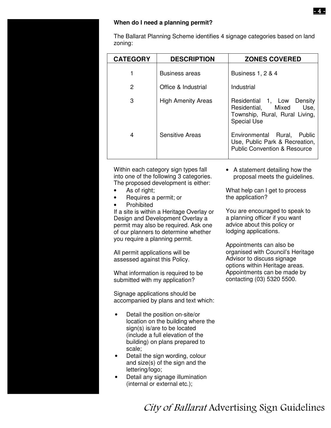#### **When do I need a planning permit?**

The Ballarat Planning Scheme identifies 4 signage categories based on land zoning:

| <b>CATEGORY</b> | <b>DESCRIPTION</b>        | <b>ZONES COVERED</b>                                                                                                |
|-----------------|---------------------------|---------------------------------------------------------------------------------------------------------------------|
|                 | <b>Business areas</b>     | <b>Business 1, 2 &amp; 4</b>                                                                                        |
| 2               | Office & Industrial       | Industrial                                                                                                          |
| 3               | <b>High Amenity Areas</b> | Density<br>Residential 1, Low<br>Use,<br>Residential, Mixed<br>Township, Rural, Rural Living,<br><b>Special Use</b> |
| 4               | <b>Sensitive Areas</b>    | Environmental Rural,<br>Public<br>Use, Public Park & Recreation,<br><b>Public Convention &amp; Resource</b>         |

Within each category sign types fall into one of the following 3 categories. The proposed development is either:

- As of right;
- Requires a permit; or
- Prohibited

If a site is within a Heritage Overlay or Design and Development Overlay a permit may also be required. Ask one of our planners to determine whether you require a planning permit.

All permit applications will be assessed against this Policy.

What information is required to be submitted with my application?

Signage applications should be accompanied by plans and text which:

- Detail the position on-site/or location on the building where the sign(s) is/are to be located (include a full elevation of the building) on plans prepared to scale;
- Detail the sign wording, colour and size(s) of the sign and the lettering/logo;
- Detail any signage illumination (internal or external etc.);

• A statement detailing how the proposal meets the guidelines.

What help can I get to process the application?

You are encouraged to speak to a planning officer if you want advice about this policy or lodging applications.

Appointments can also be organised with Council's Heritage Advisor to discuss signage options within Heritage areas. Appointments can be made by contacting (03) 5320 5500.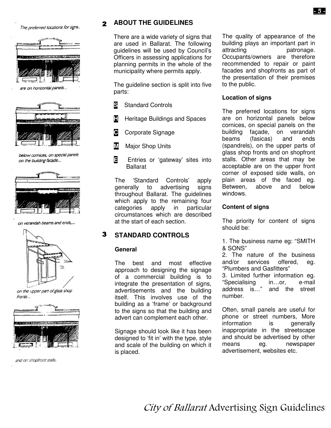The preferred locations for signs..



are on horizontal panels...



below cornices, on special panels on the building facade...



on verandah beams and ends,...



on the upper part of glass shop fronts...



and on shopfront stalls.

### **ABOUT THE GUIDELINES**

There are a wide variety of signs that are used in Ballarat. The following guidelines will be used by Council's Officers in assessing applications for planning permits in the whole of the municipality where permits apply.

The guideline section is split into five parts:

- **S** Standard Controls
- **H** Heritage Buildings and Spaces
- **C** Corporate Signage
- **M** Major Shop Units
- **E** Entries or 'gateway' sites into Ballarat

The 'Standard Controls' apply generally to advertising signs throughout Ballarat. The guidelines which apply to the remaining four categories apply in particular circumstances which are described at the start of each section.

#### 3 **STANDARD CONTROLS**

#### **General**

The best and most effective approach to designing the signage of a commercial building is to integrate the presentation of signs, advertisements and the building itself. This involves use of the building as a 'frame' or background to the signs so that the building and advert can complement each other.

Signage should look like it has been designed to 'fit in' with the type, style and scale of the building on which it is placed.

The quality of appearance of the building plays an important part in attracting patronage. Occupants/owners are therefore recommended to repair or paint facades and shopfronts as part of the presentation of their premises to the public.

#### **Location of signs**

The preferred locations for signs are on horizontal panels below cornices, on special panels on the building façade, on verandah beams (fasicas) and ends (spandrels), on the upper parts of glass shop fronts and on shopfront stalls. Other areas that may be acceptable are on the upper front corner of exposed side walls, on plain areas of the faced eg. Between, above and below windows.

#### **Content of signs**

The priority for content of signs should be:

1. The business name eg: "SMITH & SONS"

2. The nature of the business and/or services offered, eg. "Plumbers and Gasfitters"

3. Limited further information eg. "Specialising in...or, e-mail<br>address is..." and the street and the street number.

Often, small panels are useful for phone or street numbers, More information is generally inappropriate in the streetscape and should be advertised by other means eg. newspaper advertisement, websites etc.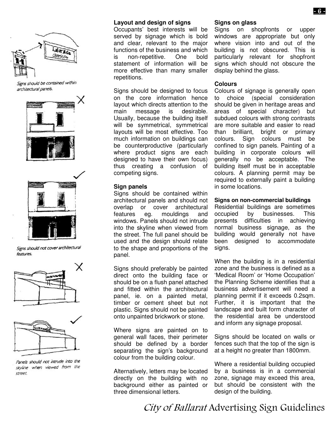

Signs should be contained within architectural panels.





Signs should not cover architectural features.





Panels should not intrude into the skyline when viewed from the street.

#### **Layout and design of signs**

Occupants' best interests will be served by signage which is bold and clear, relevant to the major functions of the business and which is non-repetitive. One bold statement of information will be more effective than many smaller repetitions.

Signs should be designed to focus on the core information hence layout which directs attention to the main message is desirable. Usually, because the building itself will be symmetrical, symmetrical layouts will be most effective. Too much information on buildings can be counterproductive (particularly where product signs are each designed to have their own focus) thus creating a confusion of competing signs.

#### **Sign panels**

Signs should be contained within architectural panels and should not overlap or cover architectural features eg. mouldings and windows. Panels should not intrude into the skyline when viewed from the street. The full panel should be used and the design should relate to the shape and proportions of the panel.

Signs should preferably be painted direct onto the building face or should be on a flush panel attached and fitted within the architectural panel, ie. on a painted metal, timber or cement sheet but not plastic. Signs should not be painted onto unpainted brickwork or stone.

Where signs are painted on to general wall faces, their perimeter should be defined by a border separating the sign's background colour from the building colour.

Alternatively, letters may be located directly on the building with no background either as painted or three dimensional letters.

#### **Signs on glass**

Signs on shopfronts or upper windows are appropriate but only where vision into and out of the building is not obscured. This is particularly relevant for shopfront signs which should not obscure the display behind the glass.

#### **Colours**

Colours of signage is generally open to choice (special consideration should be given in heritage areas and areas of special character) but subdued colours with strong contrasts are more suitable and easier to read than brilliant, bright or primary colours. Sign colours must be confined to sign panels. Painting of a building in corporate colours will generally no be acceptable. The building itself must be in acceptable colours. A planning permit may be required to externally paint a building in some locations.

#### **Signs on non-commercial buildings**

Residential buildings are sometimes occupied by businesses. This presents difficulties in achieving normal business signage, as the building would generally not have been designed to accommodate signs.

When the building is in a residential zone and the business is defined as a 'Medical Room' or 'Home Occupation' the Planning Scheme identifies that a business advertisement will need a planning permit if it exceeds 0.2sqm. Further, it is important that the landscape and built form character of the residential area be understood and inform any signage proposal.

Signs should be located on walls or fences such that the top of the sign is at a height no greater than 1800mm.

Where a residential building occupied by a business is in a commercial zone, signage may exceed this area, but should be consistent with the design of the building.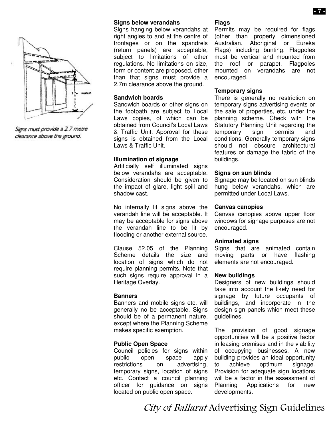

Signs must provide a 2.7 metre clearance above the ground.

#### **Signs below verandahs**

Signs hanging below verandahs at right angles to and at the centre of frontages or on the spandrels (return panels) are acceptable, subject to limitations of other regulations. No limitations on size, form or content are proposed, other than that signs must provide a 2.7m clearance above the ground.

#### **Sandwich boards**

Sandwich boards or other signs on the footpath are subject to Local Laws copies, of which can be obtained from Council's Local Laws & Traffic Unit. Approval for these signs is obtained from the Local Laws & Traffic Unit.

#### **Illumination of signage**

Artificially self illuminated signs below verandahs are acceptable. Consideration should be given to the impact of glare, light spill and shadow cast.

No internally lit signs above the verandah line will be acceptable. It may be acceptable for signs above the verandah line to be lit by flooding or another external source.

Clause 52.05 of the Planning Scheme details the size and location of signs which do not require planning permits. Note that such signs require approval in a Heritage Overlay.

#### **Banners**

Banners and mobile signs etc, will generally no be acceptable. Signs should be of a permanent nature, except where the Planning Scheme makes specific exemption.

#### **Public Open Space**

Council policies for signs within public open space apply restrictions on advertising, temporary signs, location of signs etc. Contact a council planning officer for guidance on signs located on public open space.

#### **Flags**

Permits may be required for flags (other than properly dimensioned Australian, Aboriginal or Eureka Flags) including bunting. Flagpoles must be vertical and mounted from the roof or parapet. Flagpoles mounted on verandahs are not encouraged.

#### **Temporary signs**

There is generally no restriction on temporary signs advertising events or the sale of properties, etc, under the planning scheme. Check with the Statutory Planning Unit regarding the<br>temporary sign permits and temporary sign permits and conditions. Generally temporary signs should not obscure architectural features or damage the fabric of the buildings.

#### **Signs on sun blinds**

Signage may be located on sun blinds hung below verandahs, which are permitted under Local Laws.

#### **Canvas canopies**

Canvas canopies above upper floor windows for signage purposes are not encouraged.

#### **Animated signs**

Signs that are animated contain moving parts or have flashing elements are not encouraged.

#### **New buildings**

Designers of new buildings should take into account the likely need for signage by future occupants of buildings, and incorporate in the design sign panels which meet these guidelines.

The provision of good signage opportunities will be a positive factor in leasing premises and in the viability of occupying businesses. A new building provides an ideal opportunity to achieve optimum signage. Provision for adequate sign locations will be a factor in the assessment of Planning Applications for new developments.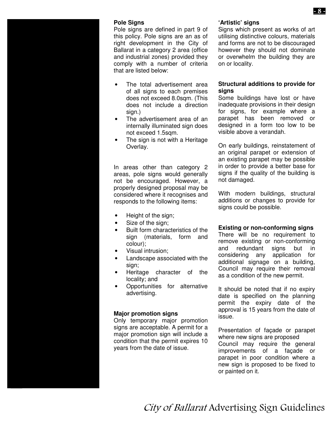### **Pole Signs**

Pole signs are defined in part 9 of this policy. Pole signs are an as of right development in the City of Ballarat in a category 2 area (office and industrial zones) provided they comply with a number of criteria that are listed below:

- The total advertisement area of all signs to each premises does not exceed 8.0sqm. (This does not include a direction sign.)
- The advertisement area of an internally illuminated sign does not exceed 1.5sqm.
- The sign is not with a Heritage Overlay.

In areas other than category 2 areas, pole signs would generally not be encouraged. However, a properly designed proposal may be considered where it recognises and responds to the following items:

- Height of the sign;
- Size of the sign;
- Built form characteristics of the sign (materials, form and colour);
- Visual intrusion;
- Landscape associated with the sign;
- Heritage character of the locality; and
- Opportunities for alternative advertising.

#### **Major promotion signs**

Only temporary major promotion signs are acceptable. A permit for a major promotion sign will include a condition that the permit expires 10 years from the date of issue.

#### **'Artistic' signs**

Signs which present as works of art utilising distinctive colours, materials and forms are not to be discouraged however they should not dominate or overwhelm the building they are on or locality.

#### **Structural additions to provide for signs**

Some buildings have lost or have inadequate provisions in their design for signs, for example where a parapet has been removed or designed in a form too low to be visible above a verandah.

On early buildings, reinstatement of an original parapet or extension of an existing parapet may be possible in order to provide a better base for signs if the quality of the building is not damaged.

With modern buildings, structural additions or changes to provide for signs could be possible.

#### **Existing or non-conforming signs**

There will be no requirement to remove existing or non-conforming and redundant signs but in considering any application for additional signage on a building, Council may require their removal as a condition of the new permit.

It should be noted that if no expiry date is specified on the planning permit the expiry date of the approval is 15 years from the date of issue.

Presentation of façade or parapet where new signs are proposed Council may require the general improvements of a façade or parapet in poor condition where a new sign is proposed to be fixed to or painted on it.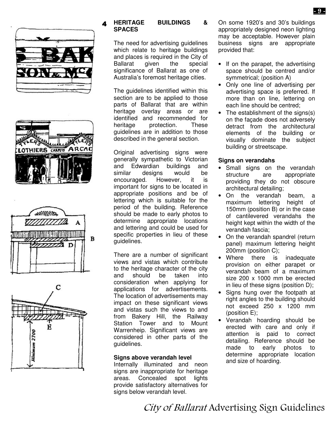







#### **HERITAGE BUILDINGS & SPACES**

The need for advertising guidelines which relate to heritage buildings and places is required in the City of<br>Ballarat given the special Ballarat given the special significance of Ballarat as one of Australia's foremost heritage cities.

The guidelines identified within this section are to be applied to those parts of Ballarat that are within heritage overlay areas or are identified and recommended for heritage protection. These guidelines are in addition to those described in the general section.

Original advertising signs were generally sympathetic to Victorian and Edwardian buildings and similar designs would be encouraged. However, it is important for signs to be located in appropriate positions and be of lettering which is suitable for the period of the building. Reference should be made to early photos to determine appropriate locations and lettering and could be used for specific properties in lieu of these guidelines.

There are a number of significant views and vistas which contribute to the heritage character of the city and should be taken into consideration when applying for applications for advertisements. The location of advertisements may impact on these significant views and vistas such the views to and from Bakery Hill, the Railway Station Tower and to Mount Warrenheip. Significant views are considered in other parts of the guidelines.

#### **Signs above verandah level**

Internally illuminated and neon signs are inappropriate for heritage areas. Concealed spot lights provide satisfactory alternatives for signs below verandah level.

On some 1920's and 30's buildings appropriately designed neon lighting may be acceptable. However plain business signs are appropriate provided that:

- If on the parapet, the advertising space should be centred and/or symmetrical; (position A)
- Only one line of advertising per advertising space is preferred. If more than on line, lettering on each line should be centred;
- The establishment of the signs(s) on the façade does not adversely detract from the architectural elements of the building or visually dominate the subject building or streetscape.

#### **Signs on verandahs**

- Small signs on the verandah structure are appropriate providing they do not obscure architectural detailing;
- On the verandah beam, a maximum lettering height of 150mm (position B) or in the case of cantilevered verandahs the height kept within the width of the verandah fascia;
- On the verandah spandrel (return panel) maximum lettering height 200mm (position C);
- Where there is inadequate provision on either parapet or verandah beam of a maximum size 200 x 1000 mm be erected in lieu of these signs (position D);
- Signs hung over the footpath at right angles to the building should not exceed 250 x 1200 mm (position E);
- Verandah hoarding should be erected with care and only if attention is paid to correct detailing. Reference should be made to early photos to determine appropriate location and size of hoarding.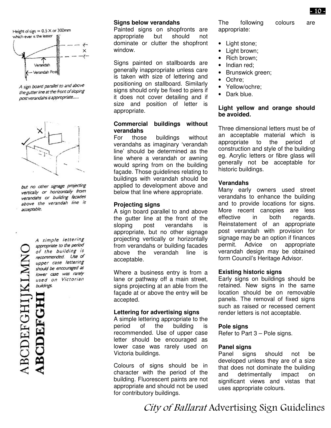

A sign board parallel to and above the gutter line at the front of sloping post verandahs is appropriate.....



but no other signage projecting vertically or horizontally from verandahs or building facades above the verandah line is acceptable.

RCDEFGHIJKLM **ABCDEFGH** 

#### A simple lettering appropriate to the period of the building is recommended. Use of upper case lettering should be encouraged as lower case was rarely used on Victorian buildings.

#### **Signs below verandahs**

Painted signs on shopfronts are appropriate but should not dominate or clutter the shopfront window.

Signs painted on stallboards are generally inappropriate unless care is taken with size of lettering and positioning on stallboard. Similarly signs should only be fixed to piers if it does not cover detailing and if size and position of letter is appropriate.

#### **Commercial buildings without verandahs**

For those buildings without verandahs as imaginary 'verandah line' should be determined as the line where a verandah or awning would spring from on the building façade. Those guidelines relating to buildings with verandah should be applied to development above and below that line where appropriate.

#### **Projecting signs**

A sign board parallel to and above the gutter line at the front of the sloping post verandahs is appropriate, but no other signage projecting vertically or horizontally from verandahs or building facades above the verandah line is acceptable.

Where a business entry is from a lane or pathway off a main street, signs projecting at an able from the façade at or above the entry will be accepted.

#### **Lettering for advertising signs**

A simple lettering appropriate to the period of the building is recommended. Use of upper case letter should be encouraged as lower case was rarely used on Victoria buildings.

Colours of signs should be in character with the period of the building. Fluorescent paints are not appropriate and should not be used for contributory buildings.

The following colours are appropriate:

- Light stone;
- Light brown;
- Rich brown;
- Indian red;
- Brunswick green;
- Ochre:
- Yellow/ochre;
- Dark blue.

#### **Light yellow and orange should be avoided.**

Three dimensional letters must be of an acceptable material which is appropriate to the period of construction and style of the building eg. Acrylic letters or fibre glass will generally not be acceptable for historic buildings.

#### **Verandahs**

Many early owners used street verandahs to enhance the building and to provide locations for signs. More recent canopies are less effective in both regards. Reinstatement of an appropriate post verandah with provision for signage may be an option if finances permit. Advice on appropriate verandah design may be obtained form Council's Heritage Advisor.

#### **Existing historic signs**

Early signs on buildings should be retained. New signs in the same location should be on removable panels. The removal of fixed signs such as raised or recessed cement render letters is not acceptable.

#### **Pole signs**

Refer to Part 3 – Pole signs.

#### **Panel signs**

Panel signs should not be developed unless they are of a size that does not dominate the building and detrimentally impact on significant views and vistas that uses appropriate colours.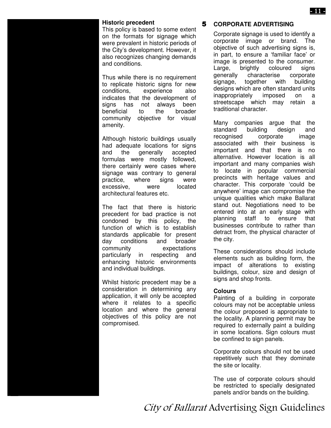This policy is based to some extent on the formats for signage which were prevalent in historic periods of the City's development. However, it also recognizes changing demands and conditions.

Thus while there is no requirement to replicate historic signs for new conditions, experience also indicates that the development of signs has not always been beneficial to the broader community objective for visual amenity.

Although historic buildings usually had adequate locations for signs and the generally accepted formulas were mostly followed, there certainly were cases where signage was contrary to general practice, where signs were excessive, were located architectural features etc.

The fact that there is historic precedent for bad practice is not condoned by this policy, the function of which is to establish standards applicable for present day conditions and broader community expectations particularly in respecting and enhancing historic environments and individual buildings.

Whilst historic precedent may be a consideration in determining any application, it will only be accepted where it relates to a specific location and where the general objectives of this policy are not compromised.

### **Historic precedent CORPORATE ADVERTISING**

Corporate signage is used to identify a corporate image or brand. The objective of such advertising signs is, in part, to ensure a 'familiar face' or image is presented to the consumer. Large, brightly coloured signs generally characterise corporate signage, together with building designs which are often standard units inappropriately imposed on a streetscape which may retain a traditional character.

Many companies argue that the standard building design and recognised corporate image associated with their business is important and that there is no alternative. However location is all important and many companies wish to locate in popular commercial precincts with heritage values and character. This corporate 'could be anywhere' image can compromise the unique qualities which make Ballarat stand out. Negotiations need to be entered into at an early stage with planning staff to ensure that businesses contribute to rather than detract from, the physical character of the city.

These considerations should include elements such as building form, the impact of alterations to existing buildings, colour, size and design of signs and shop fronts.

#### **Colours**

Painting of a building in corporate colours may not be acceptable unless the colour proposed is appropriate to the locality. A planning permit may be required to externally paint a building in some locations. Sign colours must be confined to sign panels.

Corporate colours should not be used repetitively such that they dominate the site or locality.

The use of corporate colours should be restricted to specially designated panels and/or bands on the building.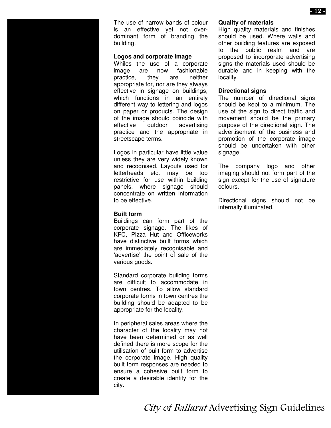The use of narrow bands of colour is an effective yet not overdominant form of branding the building.

#### **Logos and corporate image**

Whiles the use of a corporate image are now fashionable practice, they are neither appropriate for, nor are they always effective in signage on buildings, which functions in an entirely different way to lettering and logos on paper or products. The design of the image should coincide with effective outdoor advertising practice and the appropriate in streetscape terms.

Logos in particular have little value unless they are very widely known and recognised. Layouts used for letterheads etc. may be too restrictive for use within building panels, where signage should concentrate on written information to be effective.

#### **Built form**

Buildings can form part of the corporate signage. The likes of KFC, Pizza Hut and Officeworks have distinctive built forms which are immediately recognisable and 'advertise' the point of sale of the various goods.

Standard corporate building forms are difficult to accommodate in town centres. To allow standard corporate forms in town centres the building should be adapted to be appropriate for the locality.

In peripheral sales areas where the character of the locality may not have been determined or as well defined there is more scope for the utilisation of built form to advertise the corporate image. High quality built form responses are needed to ensure a cohesive built form to create a desirable identity for the city.

#### **Quality of materials**

High quality materials and finishes should be used. Where walls and other building features are exposed to the public realm and are proposed to incorporate advertising signs the materials used should be durable and in keeping with the locality.

#### **Directional signs**

The number of directional signs should be kept to a minimum. The use of the sign to direct traffic and movement should be the primary purpose of the directional sign. The advertisement of the business and promotion of the corporate image should be undertaken with other signage.

The company logo and other imaging should not form part of the sign except for the use of signature colours.

Directional signs should not be internally illuminated.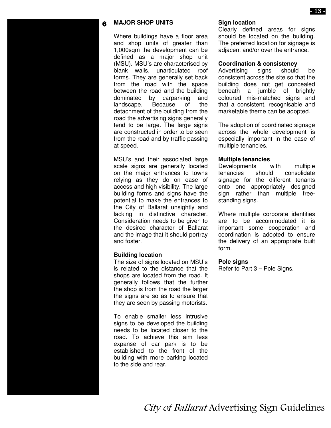#### **MAJOR SHOP UNITS**

Where buildings have a floor area and shop units of greater than 1,000sqm the development can be defined as a major shop unit (MSU). MSU's are characterised by blank walls, unarticulated roof forms. They are generally set back from the road with the space between the road and the building dominated by carparking and landscape. Because of the detachment of the building from the road the advertising signs generally tend to be large. The large signs are constructed in order to be seen from the road and by traffic passing at speed.

MSU's and their associated large scale signs are generally located on the major entrances to towns relying as they do on ease of access and high visibility. The large building forms and signs have the potential to make the entrances to the City of Ballarat unsightly and lacking in distinctive character. Consideration needs to be given to the desired character of Ballarat and the image that it should portray and foster.

#### **Building location**

The size of signs located on MSU's is related to the distance that the shops are located from the road. It generally follows that the further the shop is from the road the larger the signs are so as to ensure that they are seen by passing motorists.

To enable smaller less intrusive signs to be developed the building needs to be located closer to the road. To achieve this aim less expanse of car park is to be established to the front of the building with more parking located to the side and rear.

#### **Sign location**

Clearly defined areas for signs should be located on the building. The preferred location for signage is adjacent and/or over the entrance.

#### **Coordination & consistency**

Advertising signs should be consistent across the site so that the building does not get concealed beneath a jumble of brightly coloured mis-matched signs and that a consistent, recognisable and marketable theme can be adopted.

The adoption of coordinated signage across the whole development is especially important in the case of multiple tenancies.

#### **Multiple tenancies**

Developments with multiple tenancies should consolidate signage for the different tenants onto one appropriately designed sign rather than multiple freestanding signs.

Where multiple corporate identities are to be accommodated it is important some cooperation and coordination is adopted to ensure the delivery of an appropriate built form.

#### **Pole signs**

Refer to Part 3 – Pole Signs.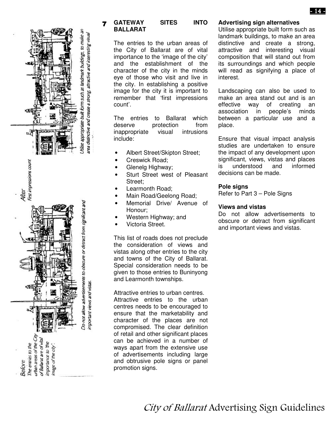

#### **GATEWAY SITES INTO BALLARAT**

The entries to the urban areas of the City of Ballarat are of vital importance to the 'image of the city' and the establishment of the character of the city in the minds eye of those who visit and live in the city. In establishing a positive image for the city it is important to remember that 'first impressions count'.

The entries to Ballarat which deserve protection from inappropriate visual intrusions include:

- Albert Street/Skipton Street;
- Creswick Road;
- Glenelg Highway;
- Sturt Street west of Pleasant Street;
- Learmonth Road;
- Main Road/Geelong Road;
- Memorial Drive/ Avenue of Honour;
- Western Highway; and
- Victoria Street.

This list of roads does not preclude the consideration of views and vistas along other entries to the city and towns of the City of Ballarat. Special consideration needs to be given to those entries to Buninyong and Learmonth townships.

Attractive entries to urban centres. Attractive entries to the urban centres needs to be encouraged to ensure that the marketability and character of the places are not compromised. The clear definition of retail and other significant places can be achieved in a number of ways apart from the extensive use of advertisements including large and obtrusive pole signs or panel promotion signs.

#### **Advertising sign alternatives**

Utilise appropriate built form such as landmark buildings, to make an area distinctive and create a strong, attractive and interesting visual composition that will stand out from its surroundings and which people will read as signifying a place of interest.

Landscaping can also be used to make an area stand out and is an effective way of creating an association in people's minds between a particular use and a place.

Ensure that visual impact analysis studies are undertaken to ensure the impact of any development upon significant, views, vistas and places is understood and informed decisions can be made.

#### **Pole signs**

Refer to Part 3 – Pole Signs

#### **Views and vistas**

Do not allow advertisements to obscure or detract from significant and important views and vistas.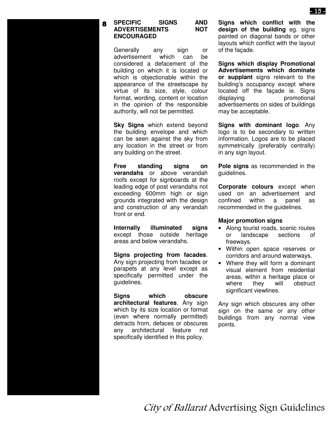#### **SPECIFIC SIGNS AND ADVERTISEMENTS ENCOURAGED**

Generally any sign or advertisement which can be considered a defacement of the building on which it is located or which is objectionable within the appearance of the streetscape by virtue of its size, style, colour format, wording, content or location in the opinion of the responsible authority, will not be permitted.

**Sky Signs** which extend beyond the building envelope and which can be seen against the sky from any location in the street or from any building on the street.

**Free standing signs on verandahs** or above verandah roofs except for signboards at the leading edge of post verandahs not exceeding 600mm high or sign grounds integrated with the design and construction of any verandah front or end.

**Internally illuminated signs** except those outside heritage areas and below verandahs.

**Signs projecting from facades**. Any sign projecting from facades or parapets at any level except as specifically permitted under the guidelines.

**Signs which obscure architectural features**. Any sign which by its size location or format (even where normally permitted) detracts from, defaces or obscures any architectural feature not specifically identified in this policy.

**Signs which conflict with the design of the building** eg. signs painted on diagonal bands or other layouts which conflict with the layout of the façade.

**Signs which display Promotional Advertisements which dominate or supplant** signs relevant to the building's occupancy except where located off the façade ie. Signs displaying promotional advertisements on sides of buildings may be acceptable.

**Signs with dominant logo**. Any logo is to be secondary to written information. Logos are to be placed symmetrically (preferably centrally) in any sign layout.

**Pole signs** as recommended in the guidelines.

**Corporate colours** except when used on an advertisement and confined within a panel as recommended in the guidelines.

#### **Major promotion signs**

- Along tourist roads, scenic routes or landscape sections of freeways.
- Within open space reserves or corridors and around waterways.
- Where they will form a dominant visual element from residential areas, within a heritage place or where they will obstruct significant viewlines.

Any sign which obscures any other sign on the same or any other buildings from any normal view points.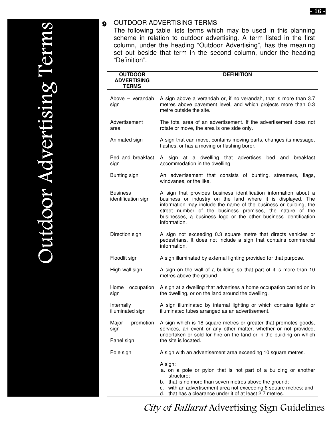#### $\bullet$ OUTDOOR ADVERTISING TERMS

| <b>OUTDOOR</b><br><b>ADVERTISING</b>     | <b>DEFINITION</b>                                                                                                                                                                                                                                                                                                                                     |
|------------------------------------------|-------------------------------------------------------------------------------------------------------------------------------------------------------------------------------------------------------------------------------------------------------------------------------------------------------------------------------------------------------|
| <b>TERMS</b>                             |                                                                                                                                                                                                                                                                                                                                                       |
| Above – verandah<br>sign                 | A sign above a verandah or, if no verandah, that is more than 3.7<br>metres above pavement level, and which projects more than 0.3<br>metre outside the site.                                                                                                                                                                                         |
| Advertisement<br>area                    | The total area of an advertisement. If the advertisement does not<br>rotate or move, the area is one side only.                                                                                                                                                                                                                                       |
| Animated sign                            | A sign that can move, contains moving parts, changes its message,<br>flashes, or has a moving or flashing borer.                                                                                                                                                                                                                                      |
| Bed and breakfast<br>sign                | A sign at a dwelling that advertises bed and breakfast<br>accommodation in the dwelling.                                                                                                                                                                                                                                                              |
| Bunting sign                             | An advertisement that consists of bunting, streamers, flags,<br>windvanes, or the like.                                                                                                                                                                                                                                                               |
| <b>Business</b><br>identification sign   | A sign that provides business identification information about a<br>business or industry on the land where it is displayed. The<br>information may include the name of the business or building, the<br>street number of the business premises, the nature of the<br>businesses, a business logo or the other business identification<br>information. |
| Direction sign                           | A sign not exceeding 0.3 square metre that directs vehicles or<br>pedestrians. It does not include a sign that contains commercial<br>information.                                                                                                                                                                                                    |
| Floodlit sign                            | A sign illuminated by external lighting provided for that purpose.                                                                                                                                                                                                                                                                                    |
| High-wall sign                           | A sign on the wall of a building so that part of it is more than 10<br>metres above the ground.                                                                                                                                                                                                                                                       |
| Home<br>occupation<br>sign               | A sign at a dwelling that advertises a home occupation carried on in<br>the dwelling, or on the land around the dwelling.                                                                                                                                                                                                                             |
| Internally<br>illuminated sign           | A sign illuminated by internal lighting or which contains lights or<br>illuminated tubes arranged as an advertisement.                                                                                                                                                                                                                                |
| Major<br>promotion<br>sign<br>Panel sign | A sign which is 18 square metres or greater that promotes goods,<br>services, an event or any other matter, whether or not provided,<br>undertaken or sold for hire on the land or in the building on which<br>the site is located.                                                                                                                   |
| Pole sign                                | A sign with an advertisement area exceeding 10 square metres.                                                                                                                                                                                                                                                                                         |
|                                          | A sign:<br>a. on a pole or pylon that is not part of a building or another<br>structure;<br>b. that is no more than seven metres above the ground;<br>c. with an advertisement area not exceeding 6 square metres; and<br>d. that has a clearance under it of at least 2.7 metres.                                                                    |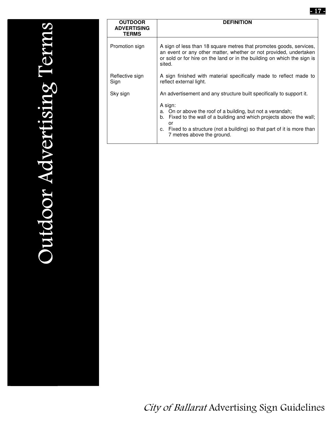| <b>OUTDOOR</b><br><b>ADVERTISING</b><br><b>TERMS</b> | <b>DEFINITION</b>                                                                                                                                                                                                                                                                                                                            |  |  |
|------------------------------------------------------|----------------------------------------------------------------------------------------------------------------------------------------------------------------------------------------------------------------------------------------------------------------------------------------------------------------------------------------------|--|--|
| Promotion sign                                       | A sign of less than 18 square metres that promotes goods, services,<br>an event or any other matter, whether or not provided, undertaken<br>or sold or for hire on the land or in the building on which the sign is<br>sited.                                                                                                                |  |  |
| Reflective sign<br>Sign                              | A sign finished with material specifically made to reflect made to<br>reflect external light.                                                                                                                                                                                                                                                |  |  |
| Sky sign                                             | An advertisement and any structure built specifically to support it.<br>A sign:<br>On or above the roof of a building, but not a verandah;<br>a.<br>b. Fixed to the wall of a building and which projects above the wall;<br>or<br>Fixed to a structure (not a building) so that part of it is more than<br>C.<br>7 metres above the ground. |  |  |